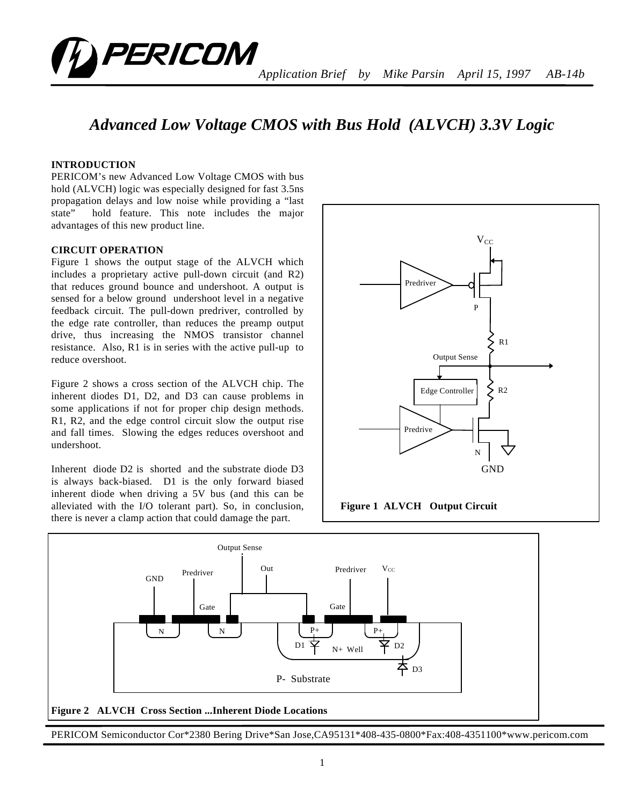

# *Advanced Low Voltage CMOS with Bus Hold (ALVCH) 3.3V Logic*

# **INTRODUCTION**

PERICOM's new Advanced Low Voltage CMOS with bus hold (ALVCH) logic was especially designed for fast 3.5ns propagation delays and low noise while providing a "last state" hold feature. This note includes the major advantages of this new product line.

### **CIRCUIT OPERATION**

Figure 1 shows the output stage of the ALVCH which includes a proprietary active pull-down circuit (and R2) that reduces ground bounce and undershoot. A output is sensed for a below ground undershoot level in a negative feedback circuit. The pull-down predriver, controlled by the edge rate controller, than reduces the preamp output drive, thus increasing the NMOS transistor channel resistance. Also, R1 is in series with the active pull-up to reduce overshoot.

Figure 2 shows a cross section of the ALVCH chip. The inherent diodes D1, D2, and D3 can cause problems in some applications if not for proper chip design methods. R1, R2, and the edge control circuit slow the output rise and fall times. Slowing the edges reduces overshoot and undershoot.

Inherent diode D2 is shorted and the substrate diode D3 is always back-biased. D1 is the only forward biased inherent diode when driving a 5V bus (and this can be alleviated with the I/O tolerant part). So, in conclusion, there is never a clamp action that could damage the part.





PERICOM Semiconductor Cor\*2380 Bering Drive\*San Jose,CA95131\*408-435-0800\*Fax:408-4351100\*www.pericom.com